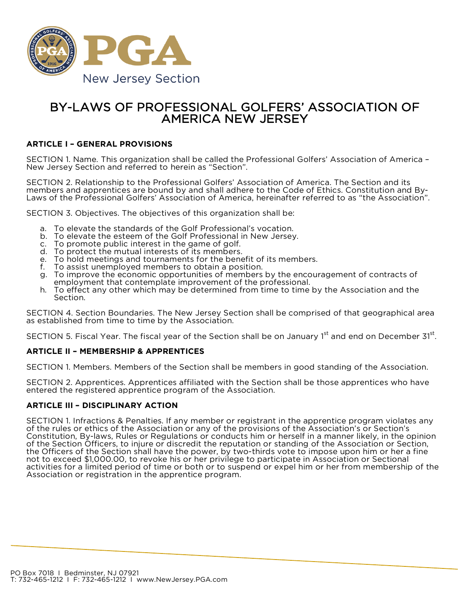

# BY-LAWS OF PROFESSIONAL GOLFERS' ASSOCIATION OF AMERICA NEW JERSEY

### **ARTICLE I – GENERAL PROVISIONS**

SECTION 1. Name. This organization shall be called the Professional Golfers' Association of America -<br>New Jersey Section and referred to herein as "Section".

SECTION 2. Relationship to the Professional Golfers' Association of America. The Section and its members and apprentices are bound by and shall adhere to the Code of Ethics. Constitution and By- Laws of the Professional Golfers' Association of America, hereinafter referred to as "the Association".

SECTION 3. Objectives. The objectives of this organization shall be:

- a. To elevate the standards of the Golf Professional's vocation.
- b. To elevate the esteem of the Golf Professional in New Jersey.
- c. To promote public interest in the game of golf.
- d. To protect the mutual interests of its members.
- e. To hold meetings and tournaments for the benefit of its members.<br>f. To assist unemployed members to obtain a position.
- To assist unemployed members to obtain a position.
- g. To improve the economic opportunities of members by the encouragement of contracts of employment that contemplate improvement of the professional.
- h. To effect any other which may be determined from time to time by the Association and the Section.

SECTION 4. Section Boundaries. The New Jersey Section shall be comprised of that geographical area as established from time to time by the Association.

SECTION 5. Fiscal Year. The fiscal year of the Section shall be on January 1<sup>st</sup> and end on December 31<sup>st</sup>.

### **ARTICLE II – MEMBERSHIP & APPRENTICES**

SECTION 1. Members. Members of the Section shall be members in good standing of the Association.

SECTION 2. Apprentices. Apprentices affiliated with the Section shall be those apprentices who have entered the registered apprentice program of the Association.

### **ARTICLE III – DISCIPLINARY ACTION**

SECTION 1. Infractions & Penalties. If any member or registrant in the apprentice program violates any of the rules or ethics of the Association or any of the provisions of the Association's or Section's Constitution, By-laws, Rules or Regulations or conducts him or herself in a manner likely, in the opinion of the Section Officers, to injure or discredit the reputation or standing of the Association or Section, the Officers of the Section shall have the power, by two-thirds vote to impose upon him or her a fine not to exceed \$1,000.00, to revoke his or her privilege to participate in Association or Sectional activities for a limited period of time or both or to suspend or expel him or her from membership of the Association or registration in the apprentice program.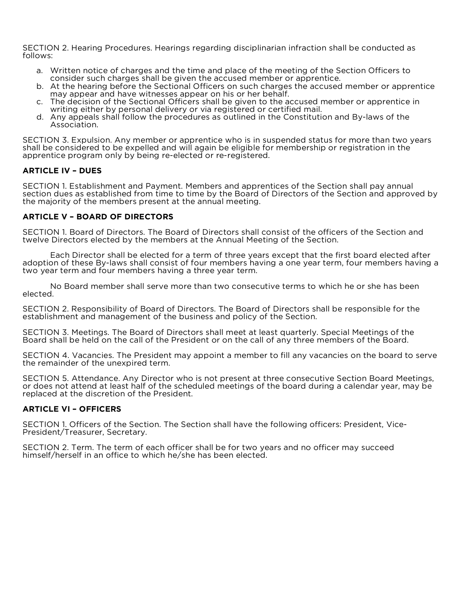SECTION 2. Hearing Procedures. Hearings regarding disciplinarian infraction shall be conducted as follows:

- a. Written notice of charges and the time and place of the meeting of the Section Officers to consider such charges shall be given the accused member or apprentice.
- b. At the hearing before the Sectional Officers on such charges the accused member or apprentice may appear and have witnesses appear on his or her behalf.
- c. The decision of the Sectional Officers shall be given to the accused member or apprentice in writing either by personal delivery or via registered or certified mail.
- d. Any appeals shall follow the procedures as outlined in the Constitution and By-laws of the Association.

SECTION 3. Expulsion. Any member or apprentice who is in suspended status for more than two years shall be considered to be expelled and will again be eligible for membership or registration in the apprentice program only by being re-elected or re-registered.

### **ARTICLE IV – DUES**

SECTION 1. Establishment and Payment. Members and apprentices of the Section shall pay annual section dues as established from time to time by the Board of Directors of the Section and approved by the majority of the members present at the annual meeting.

### **ARTICLE V – BOARD OF DIRECTORS**

SECTION 1. Board of Directors. The Board of Directors shall consist of the officers of the Section and twelve Directors elected by the members at the Annual Meeting of the Section.

Each Director shall be elected for a term of three years except that the first board elected after adoption of these By-laws shall consist of four members having a one year term, four members having a two year term and four members having a three year term.

No Board member shall serve more than two consecutive terms to which he or she has been elected.

SECTION 2. Responsibility of Board of Directors. The Board of Directors shall be responsible for the establishment and management of the business and policy of the Section.

SECTION 3. Meetings. The Board of Directors shall meet at least quarterly. Special Meetings of the Board shall be held on the call of the President or on the call of any three members of the Board.

SECTION 4. Vacancies. The President may appoint a member to fill any vacancies on the board to serve the remainder of the unexpired term.

SECTION 5. Attendance. Any Director who is not present at three consecutive Section Board Meetings, or does not attend at least half of the scheduled meetings of the board during a calendar year, may be replaced at the discretion of the President.

#### **ARTICLE VI – OFFICERS**

SECTION 1. Officers of the Section. The Section shall have the following officers: President, Vice-<br>President/Treasurer, Secretary.

SECTION 2. Term. The term of each officer shall be for two years and no officer may succeed himself/herself in an office to which he/she has been elected.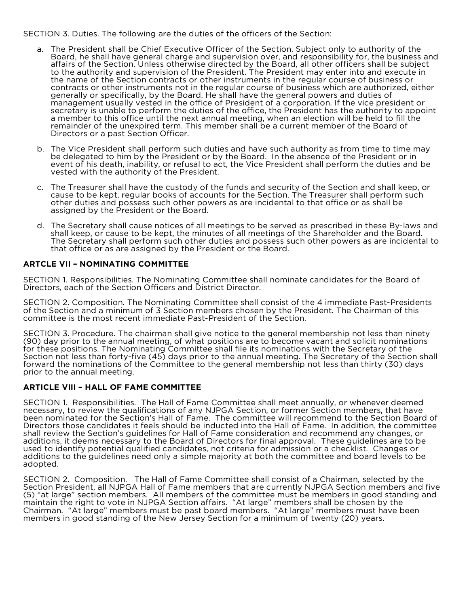### SECTION 3. Duties. The following are the duties of the officers of the Section:

- a. The President shall be Chief Executive Officer of the Section. Subject only to authority of the Board, he shall have general charge and supervision over, and responsibility for, the business and affairs of the Section. Unless otherwise directed by the Board, all other officers shall be subject to the authority and supervision of the President. The President may enter into and execute in the name of the Section contracts or other instruments in the regular course of business or contracts or other instruments not in the regular course of business which are authorized, either generally or specifically, by the Board. He shall have the general powers and duties of management usually vested in the office of President of a corporation. If the vice president or secretary is unable to perform the duties of the office, the President has the authority to appoint a member to this office until the next annual meeting, when an election will be held to fill the remainder of the unexpired term. This member shall be a current member of the Board of Directors or a past Section Officer.
- b. The Vice President shall perform such duties and have such authority as from time to time may be delegated to him by the President or by the Board. In the absence of the President or in event of his death, inability, or refusal to act, the Vice President shall perform the duties and be vested with the authority of the President.
- c. The Treasurer shall have the custody of the funds and security of the Section and shall keep, or cause to be kept, regular books of accounts for the Section. The Treasurer shall perform such other duties and possess such other powers as are incidental to that office or as shall be assigned by the President or the Board.
- d. The Secretary shall cause notices of all meetings to be served as prescribed in these By-laws and shall keep, or cause to be kept, the minutes of all meetings of the Shareholder and the Board. The Secretary shall perform such other duties and possess such other powers as are incidental to that office or as are assigned by the President or the Board.

### **ARTCLE VII – NOMINATING COMMITTEE**

SECTION 1. Responsibilities. The Nominating Committee shall nominate candidates for the Board of Directors, each of the Section Officers and District Director.

SECTION 2. Composition. The Nominating Committee shall consist of the 4 immediate Past-Presidents of the Section and a minimum of 3 Section members chosen by the President. The Chairman of this committee is the most recent immediate Past-President of the Section.

SECTION 3. Procedure. The chairman shall give notice to the general membership not less than ninety (90) day prior to the annual meeting, of what positions are to become vacant and solicit nominations for these positions. The Nominating Committee shall file its nominations with the Secretary of the Section not less than forty-five (45) days prior to the annual meeting. The Secretary of the Section shall forward the nominations of the Committee to the general membership not less than thirty (30) days prior to the annual meeting.

### **ARTICLE VIII – HALL OF FAME COMMITTEE**

SECTION 1. Responsibilities. The Hall of Fame Committee shall meet annually, or whenever deemed necessary, to review the qualifications of any NJPGA Section, or former Section members, that have been nominated for the Section's Hall of Fame. The committee will recommend to the Section Board of Directors those candidates it feels should be inducted into the Hall of Fame. In addition, the committee shall review the Section's guidelines for Hall of Fame consideration and recommend any changes, or additions, it deems necessary to the Board of Directors for final approval. These guidelines are to be used to identify potential qualified candidates, not criteria for admission or a checklist. Changes or additions to the guidelines need only a simple majority at both the committee and board levels to be adopted.

SECTION 2. Composition. The Hall of Fame Committee shall consist of a Chairman, selected by the Section President, all NJPGA Hall of Fame members that are currently NJPGA Section members and five (5) "at large" section members. All members of the committee must be members in good standing and maintain the right to vote in NJPGA Section affairs. "At large" members shall be chosen by the Chairman. "At large" members must be past board members. "At large" members must have been members in good standing of the New Jersey Section for a minimum of twenty (20) years.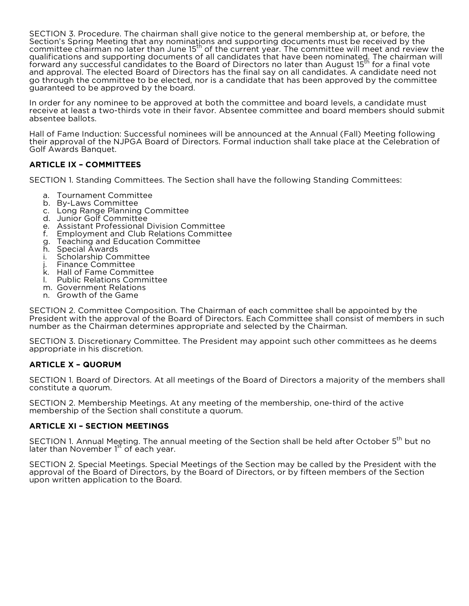SECTION 3. Procedure. The chairman shall give notice to the general membership at, or before, the Section's Spring Meeting that any nominations and supporting documents must be received by the<br>committee chairman no later than June 15<sup>th</sup> of the current year. The committee will meet and review the qualifications and supporting documents of all candidates that have been nominated. The chairman will<br>forward any successful candidates to the Board of Directors no later than August 15<sup>th</sup> for a final vote and approval. The elected Board of Directors has the final say on all candidates. A candidate need not go through the committee to be elected, nor is a candidate that has been approved by the committee guaranteed to be approved by the board.

In order for any nominee to be approved at both the committee and board levels, a candidate must receive at least a two-thirds vote in their favor. Absentee committee and board members should submit absentee ballots.

Hall of Fame Induction: Successful nominees will be announced at the Annual (Fall) Meeting following their approval of the NJPGA Board of Directors. Formal induction shall take place at the Celebration of Golf Awards Banquet.

## **ARTICLE IX – COMMITTEES**

SECTION 1. Standing Committees. The Section shall have the following Standing Committees:

- a. Tournament Committee
- b. By-Laws Committee
- c. Long Range Planning Committee
- d. Junior Golf Committee
- e. Assistant Professional Division Committee
- f. Employment and Club Relations Committee
- g. Teaching and Education Committee
- h. Special Awards
- i. Scholarship Committee
- j. Finance Committee
- k. Hall of Fame Committee
- l. Public Relations Committee
- m. Government Relations
- n. Growth of the Game

SECTION 2. Committee Composition. The Chairman of each committee shall be appointed by the President with the approval of the Board of Directors. Each Committee shall consist of members in such number as the Chairman determines appropriate and selected by the Chairman.

SECTION 3. Discretionary Committee. The President may appoint such other committees as he deems appropriate in his discretion.

### **ARTICLE X – QUORUM**

SECTION 1. Board of Directors. At all meetings of the Board of Directors a majority of the members shall constitute a quorum.

SECTION 2. Membership Meetings. At any meeting of the membership, one-third of the active membership of the Section shall constitute a quorum.

### **ARTICLE XI – SECTION MEETINGS**

SECTION 1. Annual Meeting. The annual meeting of the Section shall be held after October 5<sup>th</sup> but no later than November  $1<sup>st</sup>$  of each year.

SECTION 2. Special Meetings. Special Meetings of the Section may be called by the President with the approval of the Board of Directors, by the Board of Directors, or by fifteen members of the Section upon written application to the Board.